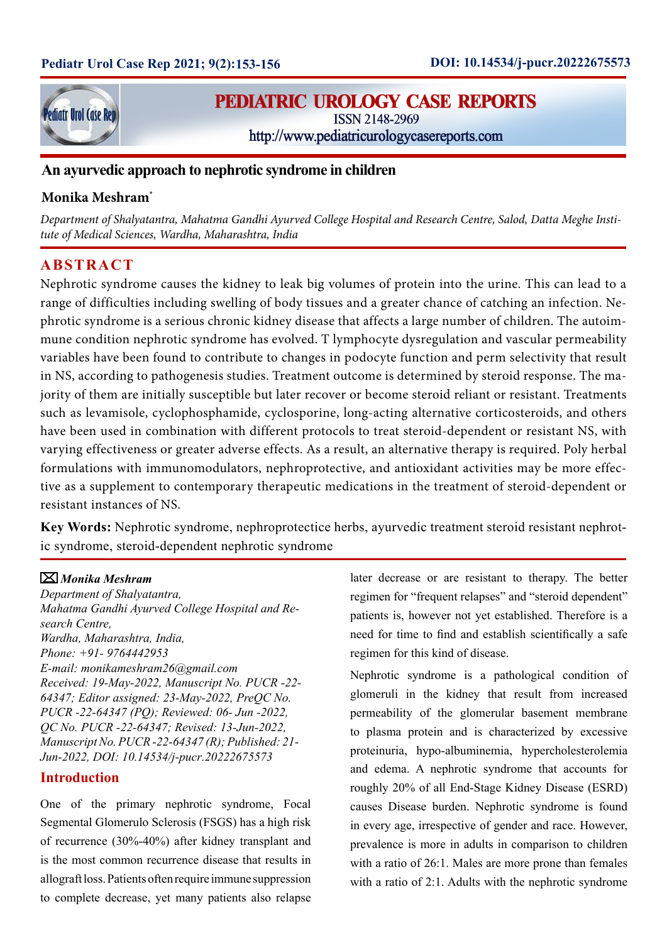

# **PEDIATRIC UROLOGY CASE REPORTS**

ISSN 2148-2969

http://www.pediatricurologycasereports.com

# **An ayurvedic approach to nephrotic syndrome in children**

# **Monika Meshram\***

*Department of Shalyatantra, Mahatma Gandhi Ayurved College Hospital and Research Centre, Salod, Datta Meghe Institute of Medical Sciences, Wardha, Maharashtra, India*

# **ABSTRACT**

Nephrotic syndrome causes the kidney to leak big volumes of protein into the urine. This can lead to a range of difficulties including swelling of body tissues and a greater chance of catching an infection. Nephrotic syndrome is a serious chronic kidney disease that affects a large number of children. The autoimmune condition nephrotic syndrome has evolved. T lymphocyte dysregulation and vascular permeability variables have been found to contribute to changes in podocyte function and perm selectivity that result in NS, according to pathogenesis studies. Treatment outcome is determined by steroid response. The majority of them are initially susceptible but later recover or become steroid reliant or resistant. Treatments such as levamisole, cyclophosphamide, cyclosporine, long-acting alternative corticosteroids, and others have been used in combination with different protocols to treat steroid-dependent or resistant NS, with varying effectiveness or greater adverse effects. As a result, an alternative therapy is required. Poly herbal formulations with immunomodulators, nephroprotective, and antioxidant activities may be more effective as a supplement to contemporary therapeutic medications in the treatment of steroid-dependent or resistant instances of NS.

**Key Words:** Nephrotic syndrome, nephroprotectice herbs, ayurvedic treatment steroid resistant nephrotic syndrome, steroid-dependent nephrotic syndrome

### *Monika Meshram*

*Department of Shalyatantra, Mahatma Gandhi Ayurved College Hospital and Research Centre, Wardha, Maharashtra, India, Phone: +91- 9764442953 E-mail: monikameshram26@gmail.com Received: 19-May-2022, Manuscript No. PUCR -22- 64347; Editor assigned: 23-May-2022, PreQC No. PUCR -22-64347 (PQ); Reviewed: 06- Jun -2022, QC No. PUCR -22-64347; Revised: 13-Jun-2022, Manuscript No. PUCR -22-64347 (R); Published: 21- Jun-2022, DOI: 10.14534/j-pucr.20222675573*

### **Introduction**

One of the primary nephrotic syndrome, Focal Segmental Glomerulo Sclerosis (FSGS) has a high risk of recurrence (30%-40%) after kidney transplant and is the most common recurrence disease that results in allograft loss. Patients often require immune suppression to complete decrease, yet many patients also relapse later decrease or are resistant to therapy. The better regimen for "frequent relapses" and "steroid dependent" patients is, however not yet established. Therefore is a need for time to find and establish scientifically a safe regimen for this kind of disease.

Nephrotic syndrome is a pathological condition of glomeruli in the kidney that result from increased permeability of the glomerular basement membrane to plasma protein and is characterized by excessive proteinuria, hypo-albuminemia, hypercholesterolemia and edema. A nephrotic syndrome that accounts for roughly 20% of all End-Stage Kidney Disease (ESRD) causes Disease burden. Nephrotic syndrome is found in every age, irrespective of gender and race. However, prevalence is more in adults in comparison to children with a ratio of 26:1. Males are more prone than females with a ratio of 2:1. Adults with the nephrotic syndrome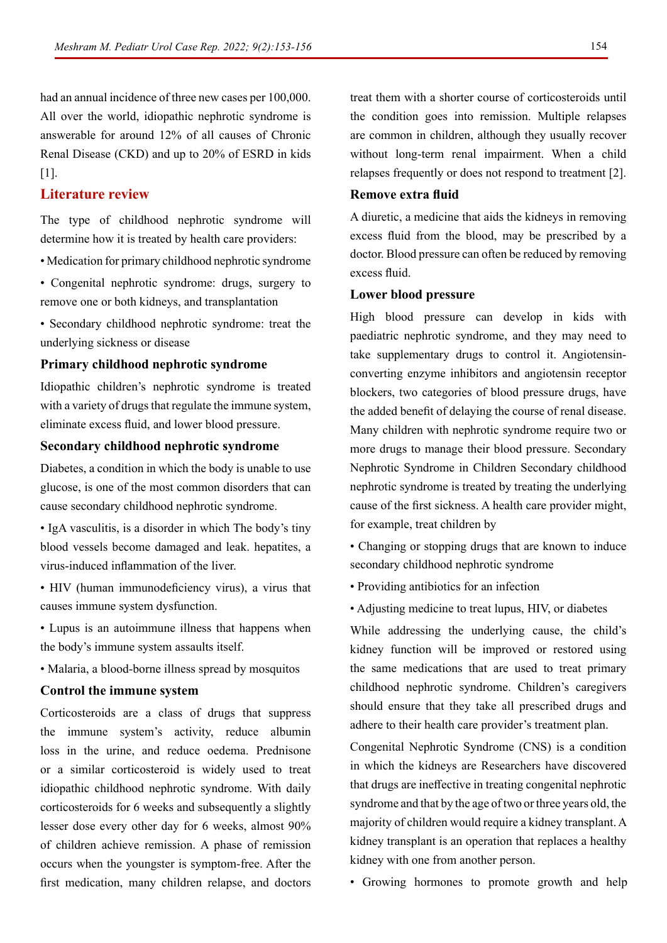had an annual incidence of three new cases per 100,000. All over the world, idiopathic nephrotic syndrome is answerable for around 12% of all causes of Chronic Renal Disease (CKD) and up to 20% of ESRD in kids [1].

### **Literature review**

The type of childhood nephrotic syndrome will determine how it is treated by health care providers:

- Medication for primary childhood nephrotic syndrome
- Congenital nephrotic syndrome: drugs, surgery to remove one or both kidneys, and transplantation
- Secondary childhood nephrotic syndrome: treat the underlying sickness or disease

#### **Primary childhood nephrotic syndrome**

Idiopathic children's nephrotic syndrome is treated with a variety of drugs that regulate the immune system, eliminate excess fluid, and lower blood pressure.

#### **Secondary childhood nephrotic syndrome**

Diabetes, a condition in which the body is unable to use glucose, is one of the most common disorders that can cause secondary childhood nephrotic syndrome.

• IgA vasculitis, is a disorder in which The body's tiny blood vessels become damaged and leak. hepatites, a virus-induced inflammation of the liver.

• HIV (human immunodeficiency virus), a virus that causes immune system dysfunction.

- Lupus is an autoimmune illness that happens when the body's immune system assaults itself.
- Malaria, a blood-borne illness spread by mosquitos

#### **Control the immune system**

Corticosteroids are a class of drugs that suppress the immune system's activity, reduce albumin loss in the urine, and reduce oedema. Prednisone or a similar corticosteroid is widely used to treat idiopathic childhood nephrotic syndrome. With daily corticosteroids for 6 weeks and subsequently a slightly lesser dose every other day for 6 weeks, almost 90% of children achieve remission. A phase of remission occurs when the youngster is symptom-free. After the first medication, many children relapse, and doctors

treat them with a shorter course of corticosteroids until the condition goes into remission. Multiple relapses are common in children, although they usually recover without long-term renal impairment. When a child relapses frequently or does not respond to treatment [2].

#### **Remove extra fluid**

A diuretic, a medicine that aids the kidneys in removing excess fluid from the blood, may be prescribed by a doctor. Blood pressure can often be reduced by removing excess fluid.

#### **Lower blood pressure**

High blood pressure can develop in kids with paediatric nephrotic syndrome, and they may need to take supplementary drugs to control it. Angiotensinconverting enzyme inhibitors and angiotensin receptor blockers, two categories of blood pressure drugs, have the added benefit of delaying the course of renal disease. Many children with nephrotic syndrome require two or more drugs to manage their blood pressure. Secondary Nephrotic Syndrome in Children Secondary childhood nephrotic syndrome is treated by treating the underlying cause of the first sickness. A health care provider might, for example, treat children by

• Changing or stopping drugs that are known to induce secondary childhood nephrotic syndrome

- Providing antibiotics for an infection
- Adjusting medicine to treat lupus, HIV, or diabetes

While addressing the underlying cause, the child's kidney function will be improved or restored using the same medications that are used to treat primary childhood nephrotic syndrome. Children's caregivers should ensure that they take all prescribed drugs and adhere to their health care provider's treatment plan.

Congenital Nephrotic Syndrome (CNS) is a condition in which the kidneys are Researchers have discovered that drugs are ineffective in treating congenital nephrotic syndrome and that by the age of two or three years old, the majority of children would require a kidney transplant. A kidney transplant is an operation that replaces a healthy kidney with one from another person.

• Growing hormones to promote growth and help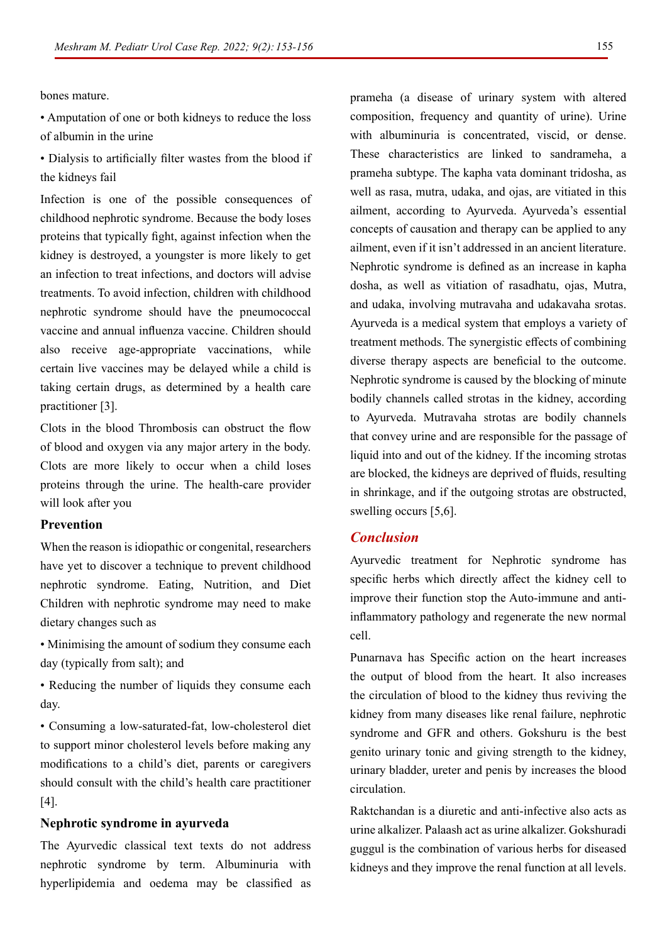155

bones mature.

• Amputation of one or both kidneys to reduce the loss of albumin in the urine

• Dialysis to artificially filter wastes from the blood if the kidneys fail

Infection is one of the possible consequences of childhood nephrotic syndrome. Because the body loses proteins that typically fight, against infection when the kidney is destroyed, a youngster is more likely to get an infection to treat infections, and doctors will advise treatments. To avoid infection, children with childhood nephrotic syndrome should have the pneumococcal vaccine and annual influenza vaccine. Children should also receive age-appropriate vaccinations, while certain live vaccines may be delayed while a child is taking certain drugs, as determined by a health care practitioner [3].

Clots in the blood Thrombosis can obstruct the flow of blood and oxygen via any major artery in the body. Clots are more likely to occur when a child loses proteins through the urine. The health-care provider will look after you

#### **Prevention**

When the reason is idiopathic or congenital, researchers have yet to discover a technique to prevent childhood nephrotic syndrome. Eating, Nutrition, and Diet Children with nephrotic syndrome may need to make dietary changes such as

- Minimising the amount of sodium they consume each day (typically from salt); and
- Reducing the number of liquids they consume each day.

• Consuming a low-saturated-fat, low-cholesterol diet to support minor cholesterol levels before making any modifications to a child's diet, parents or caregivers should consult with the child's health care practitioner [4].

#### **Nephrotic syndrome in ayurveda**

The Ayurvedic classical text texts do not address nephrotic syndrome by term. Albuminuria with hyperlipidemia and oedema may be classified as prameha (a disease of urinary system with altered composition, frequency and quantity of urine). Urine with albuminuria is concentrated, viscid, or dense. These characteristics are linked to sandrameha, a prameha subtype. The kapha vata dominant tridosha, as well as rasa, mutra, udaka, and ojas, are vitiated in this ailment, according to Ayurveda. Ayurveda's essential concepts of causation and therapy can be applied to any ailment, even if it isn't addressed in an ancient literature. Nephrotic syndrome is defined as an increase in kapha dosha, as well as vitiation of rasadhatu, ojas, Mutra, and udaka, involving mutravaha and udakavaha srotas. Ayurveda is a medical system that employs a variety of treatment methods. The synergistic effects of combining diverse therapy aspects are beneficial to the outcome. Nephrotic syndrome is caused by the blocking of minute bodily channels called strotas in the kidney, according to Ayurveda. Mutravaha strotas are bodily channels that convey urine and are responsible for the passage of liquid into and out of the kidney. If the incoming strotas are blocked, the kidneys are deprived of fluids, resulting in shrinkage, and if the outgoing strotas are obstructed, swelling occurs [5,6].

## *Conclusion*

Ayurvedic treatment for Nephrotic syndrome has specific herbs which directly affect the kidney cell to improve their function stop the Auto-immune and antiinflammatory pathology and regenerate the new normal cell.

Punarnava has Specific action on the heart increases the output of blood from the heart. It also increases the circulation of blood to the kidney thus reviving the kidney from many diseases like renal failure, nephrotic syndrome and GFR and others. Gokshuru is the best genito urinary tonic and giving strength to the kidney, urinary bladder, ureter and penis by increases the blood circulation.

Raktchandan is a diuretic and anti-infective also acts as urine alkalizer. Palaash act as urine alkalizer. Gokshuradi guggul is the combination of various herbs for diseased kidneys and they improve the renal function at all levels.